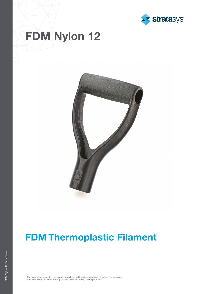

# FDM Nylon 12



## FDM Thermoplastic Filament

The information presented are typical values intended for reference and comparison purposes only.<br>They should not be used for design specifications or quality control purposes.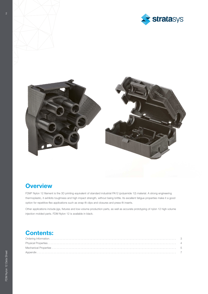



### **Overview**

FDM® Nylon 12 filament is the 3D printing equivalent of standard industrial PA12 (polyamide 12) material. A strong engineering thermoplastic, it exhibits toughness and high impact strength, without being brittle. Its excellent fatigue properties make it a good option for repetitive-flex applications such as snap-fit clips and closures and press-fit inserts.

Other applications include jigs, fixtures and low-volume production parts, as well as accurate prototyping of nylon 12 high-volume injection molded parts. FDM Nylon 12 is available in black.

### Contents: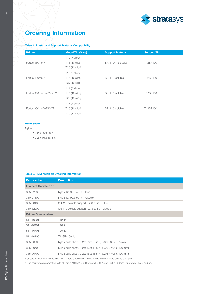

### Ordering Information

### Table 1. Printer and Support Material Compatibility

| <b>Printer</b>       | <b>Model Tip (Slice)</b>   | <b>Support Material</b> | <b>Support Tip</b> |
|----------------------|----------------------------|-------------------------|--------------------|
|                      | <b>T12 (7 slice)</b>       |                         |                    |
| Fortus 360mc™        | T <sub>16</sub> (10 slice) | SR-110™ (soluble)       | T12SR100           |
|                      | T20 (13 slice)             |                         |                    |
|                      | T12 (7 slice)              |                         | T12SR100           |
| Fortus 400mc™        | T16 (10 slice)             | SR-110 (soluble)        |                    |
|                      | <b>T20 (13 slice)</b>      |                         |                    |
|                      | T12 (7 slice)              | SR-110 (soluble)        | T12SR100           |
| Fortus 380mc™/450mc™ | T16 (10 slice)             |                         |                    |
|                      | T20 (13 slice)             |                         |                    |
|                      | <b>T12 (7 slice)</b>       |                         |                    |
| Fortus 900mc™/F900™  | T16 (10 slice)             | SR-110 (soluble)        | T12SR100           |
|                      | T20 (13 slice)             |                         |                    |

#### Build Sheet

Nylon

- 0.2 x 26 x 38 in.
- 0.2 x 16 x 18.5 in.

### Table 2. FDM Nylon 12 Ordering Information

| <b>Part Number</b>                                                                                                 | <b>Description</b>                                           |  |  |  |
|--------------------------------------------------------------------------------------------------------------------|--------------------------------------------------------------|--|--|--|
| <b>Filament Canisters 12</b>                                                                                       |                                                              |  |  |  |
| 355-02230                                                                                                          | Nylon 12, 92.3 cu in. - Plus                                 |  |  |  |
| 310-21800                                                                                                          | Nylon 12, 92.3 cu in. - Classic                              |  |  |  |
| 355-03130                                                                                                          | SR-110 soluble support, 92.3 cu in. - Plus                   |  |  |  |
| 310-32200                                                                                                          | SR-110 soluble support, 92.3 cu in. - Classic                |  |  |  |
| <b>Printer Consumables</b>                                                                                         |                                                              |  |  |  |
| 511-10301                                                                                                          | T <sub>12</sub> tip                                          |  |  |  |
| 511-10401                                                                                                          | T <sub>16</sub> tip                                          |  |  |  |
| 511-10701                                                                                                          | T <sub>20</sub> tip                                          |  |  |  |
| 511-10100                                                                                                          | T12SR-100 tip                                                |  |  |  |
| 325-00600                                                                                                          | Nylon build sheet, 0.2 x 26 x 38 in. (0.76 x 660 x 965 mm)   |  |  |  |
| 325-00700                                                                                                          | Nylon build sheet, 0.2 x 16 x 18.5 in. (0.76 x 406 x 470 mm) |  |  |  |
| 355-00700                                                                                                          | Nylon build sheet, 0.2 x 16 x 16.5 in. (0.76 x 406 x 420 mm) |  |  |  |
| <sup>1</sup> Classic canisters are compatible with all Fortus 400mc™ and Fortus 900mc™ printers prior to s/n L502. |                                                              |  |  |  |

2 Plus canisters are compatible with all Fortus 450mc™, all Stratasys F900™, and Fortus 900mc™ printers s/n L502 and up.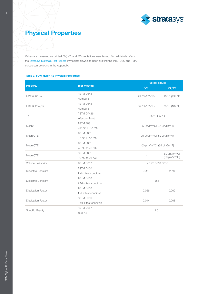

### Physical Properties

Values are measured as printed. XY, XZ, and ZX orientations were tested. For full details refer to the [Stratasys Materials Test Report](https://www.stratasys.com/-/media/Files/Brochures/BR_FDM_MaterialsTestingProcedure_0919a) (immediate download upon clicking the link). DSC and TMA curves can be found in the Appendix.

### Table 3. FDM Nylon 12 Physical Properties

|                            |                         |                                                          | <b>Typical Values</b>                                         |  |
|----------------------------|-------------------------|----------------------------------------------------------|---------------------------------------------------------------|--|
| <b>Property</b>            | <b>Test Method</b>      | XY                                                       | XZ/ZX                                                         |  |
|                            | <b>ASTM D648</b>        |                                                          | 90 °C (194 °F)                                                |  |
| HDT @ 66 psi               | Method B                | 95 °C (203 °F)                                           |                                                               |  |
| HDT @ 264 psi              | <b>ASTM D648</b>        | 85 °C (185 °F)                                           | 75 °C (167 °F)                                                |  |
|                            | <b>Method B</b>         |                                                          |                                                               |  |
|                            | ASTM D7426              | 35 °C (95 °F)                                            |                                                               |  |
| Tg                         | <b>Inflection Point</b> |                                                          |                                                               |  |
| Mean CTE                   | ASTM E831               | 85 um/[m <sup>*o</sup> C] (47 uin/[in* <sup>o</sup> F])  |                                                               |  |
|                            | (-50 °C to 10 °C)       |                                                          |                                                               |  |
| Mean CTE                   | ASTM E831               | 95 µm/[m*°C] (52 µin/[in*°F])                            |                                                               |  |
|                            | (10 °C to 50 °C)        |                                                          |                                                               |  |
| Mean CTE                   | ASTM E831               | 100 µm/[m <sup>*o</sup> C] (55 µin/[in* <sup>o</sup> F]) |                                                               |  |
|                            | (50 °C to 70 °C)        |                                                          |                                                               |  |
| Mean CTE                   | ASTM E831               |                                                          | 60 µm/[m*°C]                                                  |  |
|                            | (70 °C to 95 °C)        |                                                          | $(33 \text{ } \mu\text{in}/[\text{in}^{\star\circ}\text{F}])$ |  |
| <b>Volume Resistivity</b>  | ASTM D257               | $> 6.9*10^13$ Ω*cm                                       |                                                               |  |
|                            | ASTM D150               |                                                          |                                                               |  |
| <b>Dielectric Constant</b> | 1 kHz test condition    | 3.11                                                     | 2.78                                                          |  |
|                            | ASTM D150               |                                                          |                                                               |  |
| <b>Dielectric Constant</b> | 2 MHz test condition    | 2.5                                                      |                                                               |  |
|                            | ASTM D150               | 0.066                                                    | 0.009                                                         |  |
| <b>Dissipation Factor</b>  | 1 kHz test condition    |                                                          |                                                               |  |
|                            | ASTM D150               |                                                          |                                                               |  |
| <b>Dissipation Factor</b>  | 2 MHz test condition    | 0.014                                                    | 0.008                                                         |  |
|                            | <b>ASTM D257</b>        |                                                          | 1.01                                                          |  |
| <b>Specific Gravity</b>    | @23 °C                  |                                                          |                                                               |  |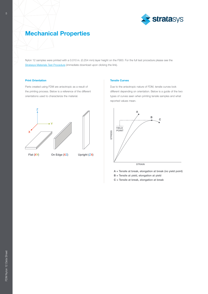

### Mechanical Properties

Nylon 12 samples were printed with a 0.010 in. (0.254 mm) layer height on the F900. For the full test procedure please see the [Stratasys Materials Test Procedure](https://www.stratasys.com/-/media/Files/Brochures/BR_FDM_MaterialsTestingProcedure_0919a) (immediate download upon clicking the link).

#### Print Orientation

Parts created using FDM are anisotropic as a result of the printing process. Below is a reference of the different orientations used to characterize the material.





Flat (XY) On Edge (XZ) Upright (ZX)

#### Tensile Curves

Due to the anisotropic nature of FDM, tensile curves look different depending on orientation. Below is a guide of the two types of curves seen when printing tensile samples and what reported values mean.



- A = Tensile at break, elongation at break (no yield point)
- B = Tensile at yield, elongation at yield
- C = Tensile at break, elongation at break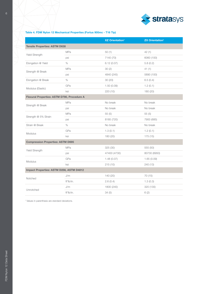

### Table 4. FDM Nylon 12 Mechanical Properties (Fortus 900mc - T16 Tip)

|                                                    |            | XZ Orientation <sup>1</sup> | <b>ZX Orientation<sup>1</sup></b> |  |
|----------------------------------------------------|------------|-----------------------------|-----------------------------------|--|
| <b>Tensile Properties: ASTM D638</b>               |            |                             |                                   |  |
| <b>Yield Strength</b>                              | <b>MPa</b> | 50(1)                       | 42(1)                             |  |
|                                                    | psi        | 7140 (70)                   | 6060 (100)                        |  |
| Elongation @ Yield                                 | %          | 6.12(0.07)                  | 5.8(0.2)                          |  |
| Strength @ Break                                   | <b>MPa</b> | 30(2)                       | 41(1)                             |  |
|                                                    | psi        | 4840 (245)                  | 5890 (100)                        |  |
| Elongation @ Break                                 | %          | 30(20)                      | 6.5(0.4)                          |  |
| Modulus (Elastic)                                  | GPa        | 1.50(0.09)                  | 1.2(0.1)                          |  |
|                                                    | ksi        | 220 (10)                    | 180 (20)                          |  |
| <b>Flexural Properties: ASTM D790, Procedure A</b> |            |                             |                                   |  |
| Strength @ Break                                   | <b>MPa</b> | No break                    | No break                          |  |
|                                                    | psi        | No break                    | No break                          |  |
| Strength @ 5% Strain                               | <b>MPa</b> | 55(5)                       | 55(5)                             |  |
|                                                    | psi        | 8185 (720)                  | 7900 (685)                        |  |
| Strain @ Break                                     | %          | No break                    | No break                          |  |
| <b>Modulus</b>                                     | GPa        | 1.3(0.1)                    | 1.2(0.1)                          |  |
|                                                    | ksi        | 180 (20)                    | 175 (15)                          |  |
| <b>Compression Properties: ASTM D695</b>           |            |                             |                                   |  |
| <b>Yield Strength</b>                              | <b>MPa</b> | 325 (30)                    | 555 (50)                          |  |
|                                                    | psi        | 47400 (4730)                | 80730 (6950)                      |  |
| <b>Modulus</b>                                     | GPa        | 1.48(0.07)                  | 1.65(0.09)                        |  |
|                                                    | ksi        | 215(10)                     | 240 (13)                          |  |
| Impact Properties: ASTM D256, ASTM D4812           |            |                             |                                   |  |
| Notched                                            | J/m        | 140 (20)                    | 70 (15)                           |  |
|                                                    | ft*lb/in.  | 2.6(0.4)                    | 1.3(0.3)                          |  |
| <b>Unnotched</b>                                   | J/m        | 1800 (240)                  | 320 (130)                         |  |
|                                                    | ft*lb/in.  | 34(5)                       | 6(2)                              |  |

<sup>1</sup> Values in parenthesis are standard deviations.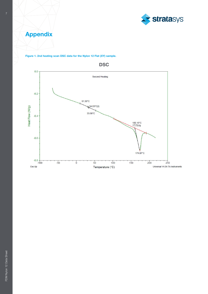

Appendix



Figure 1. 2nd heating scan DSC data for the Nylon 12 Flat (XY) sample.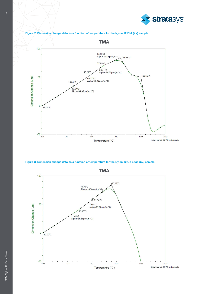



Figure 3. Dimension change data as a function of temperature for the Nylon 12 On Edge (XZ) sample.